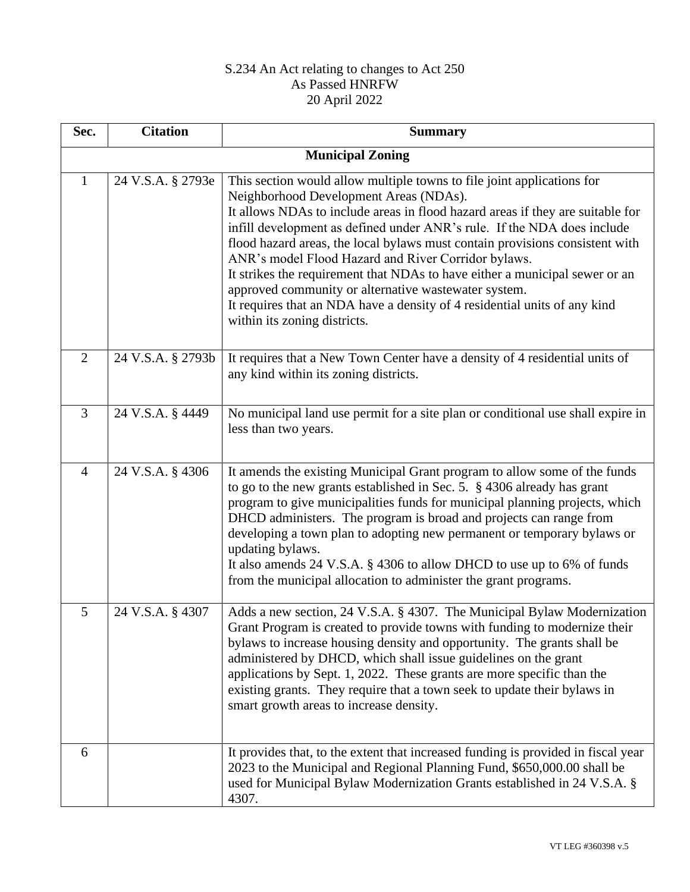## S.234 An Act relating to changes to Act 250 As Passed HNRFW 20 April 2022

| Sec.           | <b>Citation</b>         | <b>Summary</b>                                                                                                                                                                                                                                                                                                                                                                                                                                                                                                                                                                                                                                                           |  |  |
|----------------|-------------------------|--------------------------------------------------------------------------------------------------------------------------------------------------------------------------------------------------------------------------------------------------------------------------------------------------------------------------------------------------------------------------------------------------------------------------------------------------------------------------------------------------------------------------------------------------------------------------------------------------------------------------------------------------------------------------|--|--|
|                | <b>Municipal Zoning</b> |                                                                                                                                                                                                                                                                                                                                                                                                                                                                                                                                                                                                                                                                          |  |  |
| $\mathbf{1}$   | 24 V.S.A. § 2793e       | This section would allow multiple towns to file joint applications for<br>Neighborhood Development Areas (NDAs).<br>It allows NDAs to include areas in flood hazard areas if they are suitable for<br>infill development as defined under ANR's rule. If the NDA does include<br>flood hazard areas, the local bylaws must contain provisions consistent with<br>ANR's model Flood Hazard and River Corridor bylaws.<br>It strikes the requirement that NDAs to have either a municipal sewer or an<br>approved community or alternative wastewater system.<br>It requires that an NDA have a density of 4 residential units of any kind<br>within its zoning districts. |  |  |
| $\overline{2}$ | 24 V.S.A. § 2793b       | It requires that a New Town Center have a density of 4 residential units of<br>any kind within its zoning districts.                                                                                                                                                                                                                                                                                                                                                                                                                                                                                                                                                     |  |  |
| 3              | 24 V.S.A. § 4449        | No municipal land use permit for a site plan or conditional use shall expire in<br>less than two years.                                                                                                                                                                                                                                                                                                                                                                                                                                                                                                                                                                  |  |  |
| $\overline{4}$ | 24 V.S.A. § 4306        | It amends the existing Municipal Grant program to allow some of the funds<br>to go to the new grants established in Sec. 5. § 4306 already has grant<br>program to give municipalities funds for municipal planning projects, which<br>DHCD administers. The program is broad and projects can range from<br>developing a town plan to adopting new permanent or temporary bylaws or<br>updating bylaws.<br>It also amends 24 V.S.A. § 4306 to allow DHCD to use up to 6% of funds<br>from the municipal allocation to administer the grant programs.                                                                                                                    |  |  |
| 5              | 24 V.S.A. § 4307        | Adds a new section, 24 V.S.A. § 4307. The Municipal Bylaw Modernization<br>Grant Program is created to provide towns with funding to modernize their<br>bylaws to increase housing density and opportunity. The grants shall be<br>administered by DHCD, which shall issue guidelines on the grant<br>applications by Sept. 1, 2022. These grants are more specific than the<br>existing grants. They require that a town seek to update their bylaws in<br>smart growth areas to increase density.                                                                                                                                                                      |  |  |
| 6              |                         | It provides that, to the extent that increased funding is provided in fiscal year<br>2023 to the Municipal and Regional Planning Fund, \$650,000.00 shall be<br>used for Municipal Bylaw Modernization Grants established in 24 V.S.A. §<br>4307.                                                                                                                                                                                                                                                                                                                                                                                                                        |  |  |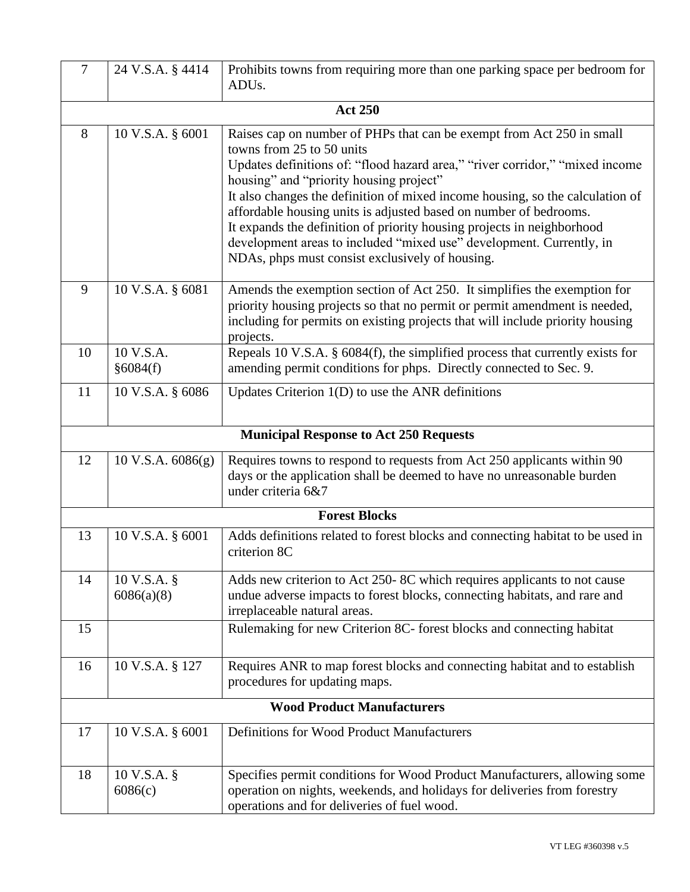| $\overline{7}$                                | 24 V.S.A. § 4414            | Prohibits towns from requiring more than one parking space per bedroom for<br>ADU <sub>s</sub> .                                                                                                                                                                                                                                                                                                                                                                                                                                                                                         |  |
|-----------------------------------------------|-----------------------------|------------------------------------------------------------------------------------------------------------------------------------------------------------------------------------------------------------------------------------------------------------------------------------------------------------------------------------------------------------------------------------------------------------------------------------------------------------------------------------------------------------------------------------------------------------------------------------------|--|
|                                               |                             |                                                                                                                                                                                                                                                                                                                                                                                                                                                                                                                                                                                          |  |
|                                               |                             | <b>Act 250</b>                                                                                                                                                                                                                                                                                                                                                                                                                                                                                                                                                                           |  |
| 8                                             | 10 V.S.A. § 6001            | Raises cap on number of PHPs that can be exempt from Act 250 in small<br>towns from 25 to 50 units<br>Updates definitions of: "flood hazard area," "river corridor," "mixed income<br>housing" and "priority housing project"<br>It also changes the definition of mixed income housing, so the calculation of<br>affordable housing units is adjusted based on number of bedrooms.<br>It expands the definition of priority housing projects in neighborhood<br>development areas to included "mixed use" development. Currently, in<br>NDAs, phps must consist exclusively of housing. |  |
| 9                                             | 10 V.S.A. § 6081            | Amends the exemption section of Act 250. It simplifies the exemption for<br>priority housing projects so that no permit or permit amendment is needed,<br>including for permits on existing projects that will include priority housing<br>projects.                                                                                                                                                                                                                                                                                                                                     |  |
| 10                                            | 10 V.S.A.<br>§6084(f)       | Repeals 10 V.S.A. $\S$ 6084(f), the simplified process that currently exists for<br>amending permit conditions for phps. Directly connected to Sec. 9.                                                                                                                                                                                                                                                                                                                                                                                                                                   |  |
| 11                                            | 10 V.S.A. § 6086            | Updates Criterion $1(D)$ to use the ANR definitions                                                                                                                                                                                                                                                                                                                                                                                                                                                                                                                                      |  |
| <b>Municipal Response to Act 250 Requests</b> |                             |                                                                                                                                                                                                                                                                                                                                                                                                                                                                                                                                                                                          |  |
| 12                                            | $10$ V.S.A. $6086(g)$       | Requires towns to respond to requests from Act 250 applicants within 90<br>days or the application shall be deemed to have no unreasonable burden<br>under criteria 6&7                                                                                                                                                                                                                                                                                                                                                                                                                  |  |
|                                               |                             | <b>Forest Blocks</b>                                                                                                                                                                                                                                                                                                                                                                                                                                                                                                                                                                     |  |
| 13                                            | 10 V.S.A. § 6001            | Adds definitions related to forest blocks and connecting habitat to be used in<br>criterion 8C                                                                                                                                                                                                                                                                                                                                                                                                                                                                                           |  |
| 14                                            | $10 V.S.A.$ §<br>6086(a)(8) | Adds new criterion to Act 250-8C which requires applicants to not cause<br>undue adverse impacts to forest blocks, connecting habitats, and rare and<br>irreplaceable natural areas.                                                                                                                                                                                                                                                                                                                                                                                                     |  |
| 15                                            |                             | Rulemaking for new Criterion 8C- forest blocks and connecting habitat                                                                                                                                                                                                                                                                                                                                                                                                                                                                                                                    |  |
| 16                                            | 10 V.S.A. § 127             | Requires ANR to map forest blocks and connecting habitat and to establish<br>procedures for updating maps.                                                                                                                                                                                                                                                                                                                                                                                                                                                                               |  |
| <b>Wood Product Manufacturers</b>             |                             |                                                                                                                                                                                                                                                                                                                                                                                                                                                                                                                                                                                          |  |
| 17                                            | 10 V.S.A. § 6001            | Definitions for Wood Product Manufacturers                                                                                                                                                                                                                                                                                                                                                                                                                                                                                                                                               |  |
| 18                                            | 10 V.S.A. $\S$<br>6086(c)   | Specifies permit conditions for Wood Product Manufacturers, allowing some<br>operation on nights, weekends, and holidays for deliveries from forestry<br>operations and for deliveries of fuel wood.                                                                                                                                                                                                                                                                                                                                                                                     |  |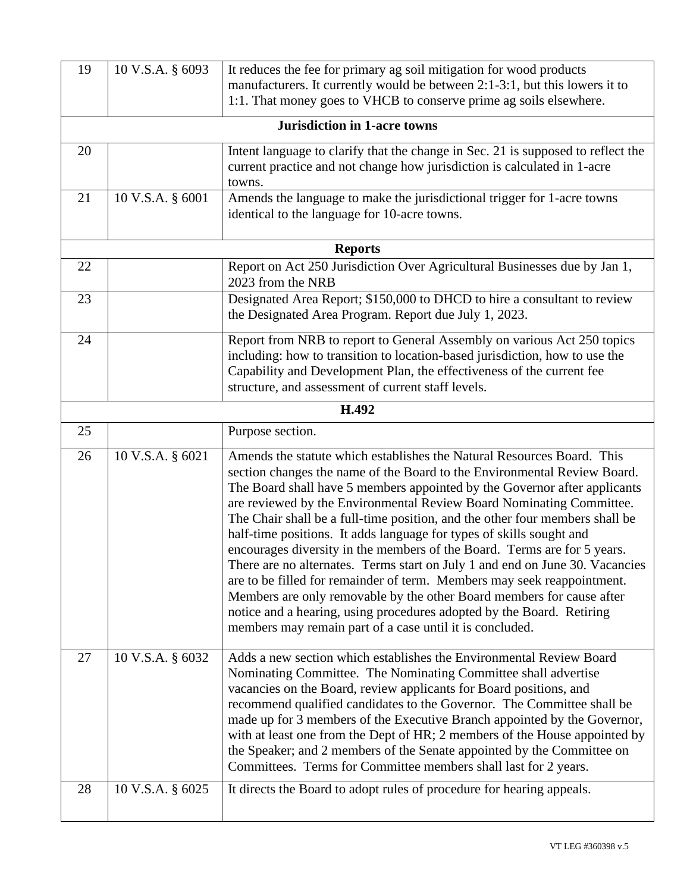| 19 | 10 V.S.A. § 6093 | It reduces the fee for primary ag soil mitigation for wood products                                                                                                                                                                                                                                                                                                                                                                                                                                                                                                                                                                                                                                                                                                                                                                                                                                                  |
|----|------------------|----------------------------------------------------------------------------------------------------------------------------------------------------------------------------------------------------------------------------------------------------------------------------------------------------------------------------------------------------------------------------------------------------------------------------------------------------------------------------------------------------------------------------------------------------------------------------------------------------------------------------------------------------------------------------------------------------------------------------------------------------------------------------------------------------------------------------------------------------------------------------------------------------------------------|
|    |                  | manufacturers. It currently would be between 2:1-3:1, but this lowers it to<br>1:1. That money goes to VHCB to conserve prime ag soils elsewhere.                                                                                                                                                                                                                                                                                                                                                                                                                                                                                                                                                                                                                                                                                                                                                                    |
|    |                  | <b>Jurisdiction in 1-acre towns</b>                                                                                                                                                                                                                                                                                                                                                                                                                                                                                                                                                                                                                                                                                                                                                                                                                                                                                  |
|    |                  |                                                                                                                                                                                                                                                                                                                                                                                                                                                                                                                                                                                                                                                                                                                                                                                                                                                                                                                      |
| 20 |                  | Intent language to clarify that the change in Sec. 21 is supposed to reflect the<br>current practice and not change how jurisdiction is calculated in 1-acre                                                                                                                                                                                                                                                                                                                                                                                                                                                                                                                                                                                                                                                                                                                                                         |
|    |                  | towns.                                                                                                                                                                                                                                                                                                                                                                                                                                                                                                                                                                                                                                                                                                                                                                                                                                                                                                               |
| 21 | 10 V.S.A. § 6001 | Amends the language to make the jurisdictional trigger for 1-acre towns                                                                                                                                                                                                                                                                                                                                                                                                                                                                                                                                                                                                                                                                                                                                                                                                                                              |
|    |                  | identical to the language for 10-acre towns.                                                                                                                                                                                                                                                                                                                                                                                                                                                                                                                                                                                                                                                                                                                                                                                                                                                                         |
|    |                  |                                                                                                                                                                                                                                                                                                                                                                                                                                                                                                                                                                                                                                                                                                                                                                                                                                                                                                                      |
|    |                  | <b>Reports</b>                                                                                                                                                                                                                                                                                                                                                                                                                                                                                                                                                                                                                                                                                                                                                                                                                                                                                                       |
| 22 |                  | Report on Act 250 Jurisdiction Over Agricultural Businesses due by Jan 1,<br>2023 from the NRB                                                                                                                                                                                                                                                                                                                                                                                                                                                                                                                                                                                                                                                                                                                                                                                                                       |
| 23 |                  | Designated Area Report; \$150,000 to DHCD to hire a consultant to review<br>the Designated Area Program. Report due July 1, 2023.                                                                                                                                                                                                                                                                                                                                                                                                                                                                                                                                                                                                                                                                                                                                                                                    |
| 24 |                  | Report from NRB to report to General Assembly on various Act 250 topics<br>including: how to transition to location-based jurisdiction, how to use the                                                                                                                                                                                                                                                                                                                                                                                                                                                                                                                                                                                                                                                                                                                                                               |
|    |                  | Capability and Development Plan, the effectiveness of the current fee                                                                                                                                                                                                                                                                                                                                                                                                                                                                                                                                                                                                                                                                                                                                                                                                                                                |
|    |                  | structure, and assessment of current staff levels.                                                                                                                                                                                                                                                                                                                                                                                                                                                                                                                                                                                                                                                                                                                                                                                                                                                                   |
|    |                  | H.492                                                                                                                                                                                                                                                                                                                                                                                                                                                                                                                                                                                                                                                                                                                                                                                                                                                                                                                |
| 25 |                  | Purpose section.                                                                                                                                                                                                                                                                                                                                                                                                                                                                                                                                                                                                                                                                                                                                                                                                                                                                                                     |
| 26 | 10 V.S.A. § 6021 | Amends the statute which establishes the Natural Resources Board. This<br>section changes the name of the Board to the Environmental Review Board.<br>The Board shall have 5 members appointed by the Governor after applicants<br>are reviewed by the Environmental Review Board Nominating Committee.<br>The Chair shall be a full-time position, and the other four members shall be<br>half-time positions. It adds language for types of skills sought and<br>encourages diversity in the members of the Board. Terms are for 5 years.<br>There are no alternates. Terms start on July 1 and end on June 30. Vacancies<br>are to be filled for remainder of term. Members may seek reappointment.<br>Members are only removable by the other Board members for cause after<br>notice and a hearing, using procedures adopted by the Board. Retiring<br>members may remain part of a case until it is concluded. |
| 27 | 10 V.S.A. § 6032 | Adds a new section which establishes the Environmental Review Board<br>Nominating Committee. The Nominating Committee shall advertise<br>vacancies on the Board, review applicants for Board positions, and<br>recommend qualified candidates to the Governor. The Committee shall be<br>made up for 3 members of the Executive Branch appointed by the Governor,<br>with at least one from the Dept of HR; 2 members of the House appointed by<br>the Speaker; and 2 members of the Senate appointed by the Committee on<br>Committees. Terms for Committee members shall last for 2 years.                                                                                                                                                                                                                                                                                                                         |
| 28 | 10 V.S.A. § 6025 | It directs the Board to adopt rules of procedure for hearing appeals.                                                                                                                                                                                                                                                                                                                                                                                                                                                                                                                                                                                                                                                                                                                                                                                                                                                |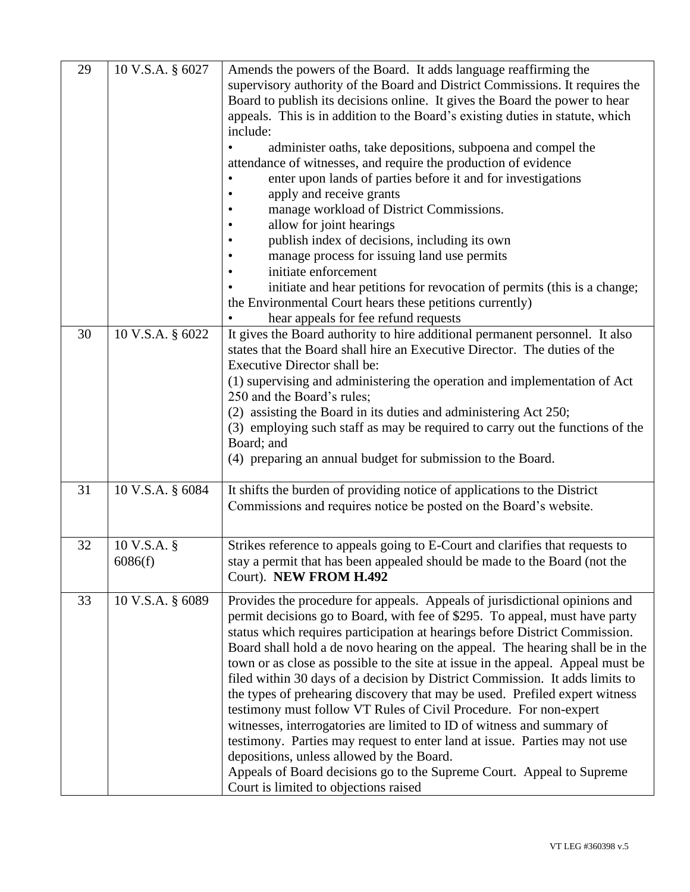| 29 | 10 V.S.A. § 6027 | Amends the powers of the Board. It adds language reaffirming the                |
|----|------------------|---------------------------------------------------------------------------------|
|    |                  | supervisory authority of the Board and District Commissions. It requires the    |
|    |                  | Board to publish its decisions online. It gives the Board the power to hear     |
|    |                  | appeals. This is in addition to the Board's existing duties in statute, which   |
|    |                  | include:                                                                        |
|    |                  | administer oaths, take depositions, subpoena and compel the                     |
|    |                  | attendance of witnesses, and require the production of evidence                 |
|    |                  | enter upon lands of parties before it and for investigations                    |
|    |                  | apply and receive grants                                                        |
|    |                  | manage workload of District Commissions.                                        |
|    |                  | allow for joint hearings                                                        |
|    |                  | publish index of decisions, including its own                                   |
|    |                  | manage process for issuing land use permits                                     |
|    |                  | initiate enforcement                                                            |
|    |                  | initiate and hear petitions for revocation of permits (this is a change;        |
|    |                  | the Environmental Court hears these petitions currently)                        |
|    |                  | hear appeals for fee refund requests                                            |
| 30 | 10 V.S.A. § 6022 | It gives the Board authority to hire additional permanent personnel. It also    |
|    |                  | states that the Board shall hire an Executive Director. The duties of the       |
|    |                  | <b>Executive Director shall be:</b>                                             |
|    |                  | (1) supervising and administering the operation and implementation of Act       |
|    |                  | 250 and the Board's rules;                                                      |
|    |                  | (2) assisting the Board in its duties and administering Act 250;                |
|    |                  | (3) employing such staff as may be required to carry out the functions of the   |
|    |                  | Board; and                                                                      |
|    |                  | (4) preparing an annual budget for submission to the Board.                     |
|    |                  |                                                                                 |
| 31 | 10 V.S.A. § 6084 | It shifts the burden of providing notice of applications to the District        |
|    |                  | Commissions and requires notice be posted on the Board's website.               |
|    |                  |                                                                                 |
| 32 | 10 V.S.A. §      | Strikes reference to appeals going to E-Court and clarifies that requests to    |
|    | 6086(f)          | stay a permit that has been appealed should be made to the Board (not the       |
|    |                  | Court). NEW FROM H.492                                                          |
|    |                  |                                                                                 |
| 33 | 10 V.S.A. § 6089 | Provides the procedure for appeals. Appeals of jurisdictional opinions and      |
|    |                  | permit decisions go to Board, with fee of \$295. To appeal, must have party     |
|    |                  | status which requires participation at hearings before District Commission.     |
|    |                  | Board shall hold a de novo hearing on the appeal. The hearing shall be in the   |
|    |                  | town or as close as possible to the site at issue in the appeal. Appeal must be |
|    |                  | filed within 30 days of a decision by District Commission. It adds limits to    |
|    |                  | the types of prehearing discovery that may be used. Prefiled expert witness     |
|    |                  | testimony must follow VT Rules of Civil Procedure. For non-expert               |
|    |                  | witnesses, interrogatories are limited to ID of witness and summary of          |
|    |                  | testimony. Parties may request to enter land at issue. Parties may not use      |
|    |                  | depositions, unless allowed by the Board.                                       |
|    |                  | Appeals of Board decisions go to the Supreme Court. Appeal to Supreme           |
|    |                  | Court is limited to objections raised                                           |
|    |                  |                                                                                 |